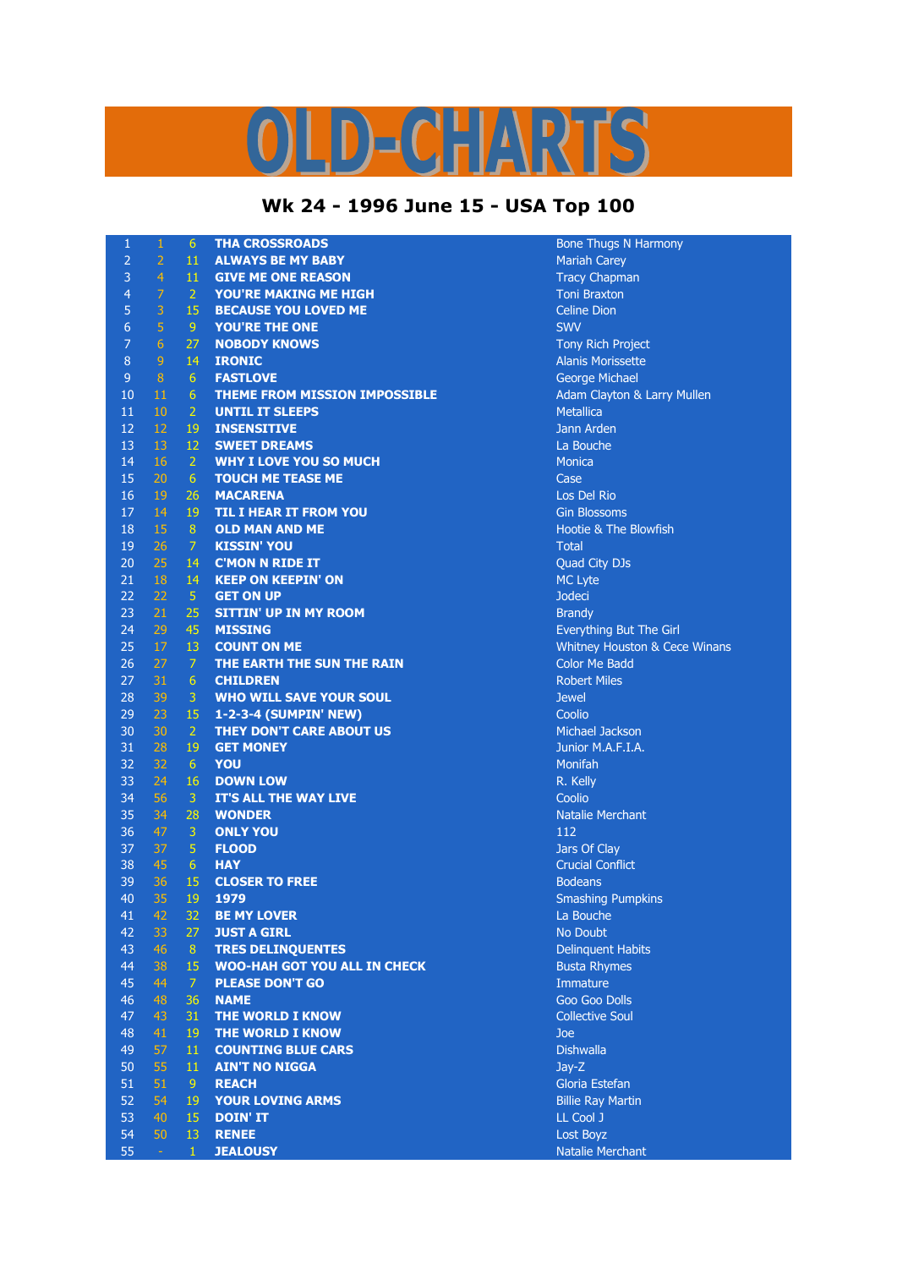## OLD-CHARTS

## **Wk 24 - 1996 June 15 - USA Top 100**

| $\mathbf{1}$     | $\,1\,$        | 6                | <b>THA CROSSROADS</b>                | <b>Bone Thugs N Harmony</b>            |
|------------------|----------------|------------------|--------------------------------------|----------------------------------------|
| $\overline{2}$   | $\overline{2}$ | 11               | <b>ALWAYS BE MY BABY</b>             | <b>Mariah Carey</b>                    |
| 3                | $\overline{4}$ | 11               | <b>GIVE ME ONE REASON</b>            | <b>Tracy Chapman</b>                   |
| $\overline{4}$   | $\overline{7}$ | $\overline{2}$   | YOU'RE MAKING ME HIGH                | <b>Toni Braxton</b>                    |
| 5                | 3              | 15               | <b>BECAUSE YOU LOVED ME</b>          | <b>Celine Dion</b>                     |
| $\boldsymbol{6}$ | 5              | 9                | <b>YOU'RE THE ONE</b>                | <b>SWV</b>                             |
| $\overline{7}$   | $\overline{6}$ | 27               | <b>NOBODY KNOWS</b>                  | Tony Rich Project                      |
| 8                | $\overline{9}$ | 14               | <b>IRONIC</b>                        | <b>Alanis Morissette</b>               |
| $\overline{9}$   | $\, 8$         | 6                | <b>FASTLOVE</b>                      | <b>George Michael</b>                  |
| 10               | 11             | $\sqrt{6}$       | <b>THEME FROM MISSION IMPOSSIBLE</b> | <b>Adam Clayton &amp; Larry Mullen</b> |
| 11               | 10             | $\overline{2}$   | <b>UNTIL IT SLEEPS</b>               | <b>Metallica</b>                       |
| 12               | 12             | 19               | <b>INSENSITIVE</b>                   | Jann Arden                             |
| 13               | 13             | 12               | <b>SWEET DREAMS</b>                  | La Bouche                              |
| 14               | 16             | $\overline{2}$   | <b>WHY I LOVE YOU SO MUCH</b>        | <b>Monica</b>                          |
| 15               | 20             | 6                | <b>TOUCH ME TEASE ME</b>             | Case                                   |
| 16               | 19             | 26               | <b>MACARENA</b>                      | Los Del Rio                            |
| 17               | 14             | 19               | <b>TIL I HEAR IT FROM YOU</b>        | <b>Gin Blossoms</b>                    |
| 18               | 15             | 8                | <b>OLD MAN AND ME</b>                | Hootie & The Blowfish                  |
| 19               | 26             | $\overline{7}$   | <b>KISSIN' YOU</b>                   | <b>Total</b>                           |
| 20               | 25             | 14               | <b>C'MON N RIDE IT</b>               | Quad City DJs                          |
| 21               | 18             | 14               | <b>KEEP ON KEEPIN' ON</b>            | MC Lyte                                |
| 22               | 22             | $\sqrt{5}$       | <b>GET ON UP</b>                     | <b>Jodeci</b>                          |
| 23               | 21             | 25               | <b>SITTIN' UP IN MY ROOM</b>         | <b>Brandy</b>                          |
| 24               | 29             | 45               | <b>MISSING</b>                       | Everything But The Girl                |
| 25               | 17             | 13               | <b>COUNT ON ME</b>                   | Whitney Houston & Cece Winans          |
| 26               | 27             | $\overline{7}$   | THE EARTH THE SUN THE RAIN           | <b>Color Me Badd</b>                   |
| 27               | 31             | $6\,$            | <b>CHILDREN</b>                      | <b>Robert Miles</b>                    |
| 28               | 39             | 3                | <b>WHO WILL SAVE YOUR SOUL</b>       | <b>Jewel</b>                           |
| 29               | 23             | 15               | 1-2-3-4 (SUMPIN' NEW)                | Coolio                                 |
| 30               | 30             | $\overline{2}$   | THEY DON'T CARE ABOUT US             | <b>Michael Jackson</b>                 |
| 31               | 28             | 19               | <b>GET MONEY</b>                     | Junior M.A.F.I.A.                      |
| 32               | 32             | 6 <sup>1</sup>   | YOU                                  | Monifah                                |
| 33               | 24             | 16               | <b>DOWN LOW</b>                      | R. Kelly                               |
| 34               | 56             | $\overline{3}$   | <b>IT'S ALL THE WAY LIVE</b>         | Coolio                                 |
| 35               | 34             | 28               | <b>WONDER</b>                        | <b>Natalie Merchant</b>                |
| 36               | 47             | $\mathbf{3}$     | <b>ONLY YOU</b>                      | 112                                    |
| 37               | 37             | $\overline{5}$   | <b>FLOOD</b>                         | Jars Of Clay                           |
| 38               | 45             | $6\phantom{1}$   | <b>HAY</b>                           | <b>Crucial Conflict</b>                |
| 39               | 36             | 15               | <b>CLOSER TO FREE</b>                | <b>Bodeans</b>                         |
| 40               | 35             | 19               | 1979                                 | <b>Smashing Pumpkins</b>               |
| 41               | 42             | 32               | <b>BE MY LOVER</b>                   | La Bouche                              |
| 42               | 33             | 27               | <b>JUST A GIRL</b>                   | No Doubt                               |
| 43               | 46             | 8                | <b>TRES DELINOUENTES</b>             | <b>Delinquent Habits</b>               |
| 44               | 38             | 15               | <b>WOO-HAH GOT YOU ALL IN CHECK</b>  | <b>Busta Rhymes</b>                    |
| 45               | 44             | 7                | <b>PLEASE DON'T GO</b>               | Immature                               |
| 46               | 48             | 36               | <b>NAME</b>                          | Goo Goo Dolls                          |
| 47               | 43             | 31               | THE WORLD I KNOW                     | <b>Collective Soul</b>                 |
| 48               | 41             | 19               | THE WORLD I KNOW                     | Joe                                    |
| 49               | 57             | $11\phantom{.0}$ | <b>COUNTING BLUE CARS</b>            | <b>Dishwalla</b>                       |
| 50               | 55             | 11               | <b>AIN'T NO NIGGA</b>                | Jay-Z                                  |
| 51               | 51             | 9                | <b>REACH</b>                         | Gloria Estefan                         |
| 52               | 54             | 19               | <b>YOUR LOVING ARMS</b>              | <b>Billie Ray Martin</b>               |
| 53               | 40             | 15               | <b>DOIN' IT</b>                      | LL Cool J                              |
| 54               | 50             | 13               | <b>RENEE</b>                         | Lost Boyz                              |
| 55               | $\Box$         | $\mathbf{1}$     | <b>JEALOUSY</b>                      | Natalie Merchant                       |
|                  |                |                  |                                      |                                        |